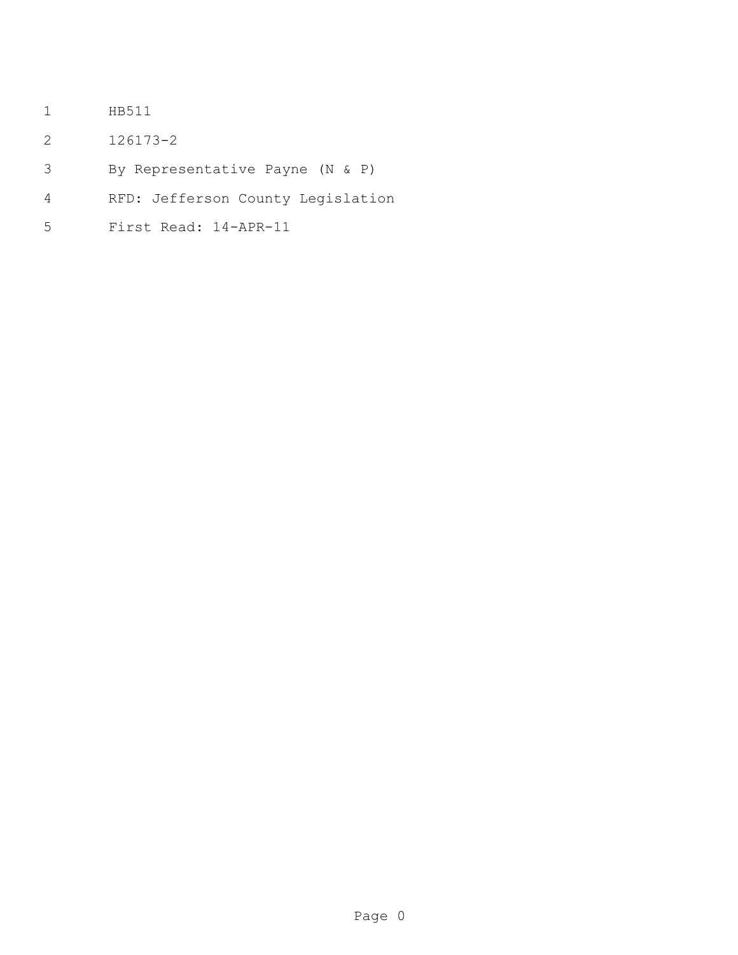- HB511
- 126173-2
- By Representative Payne (N & P)
- RFD: Jefferson County Legislation
- First Read: 14-APR-11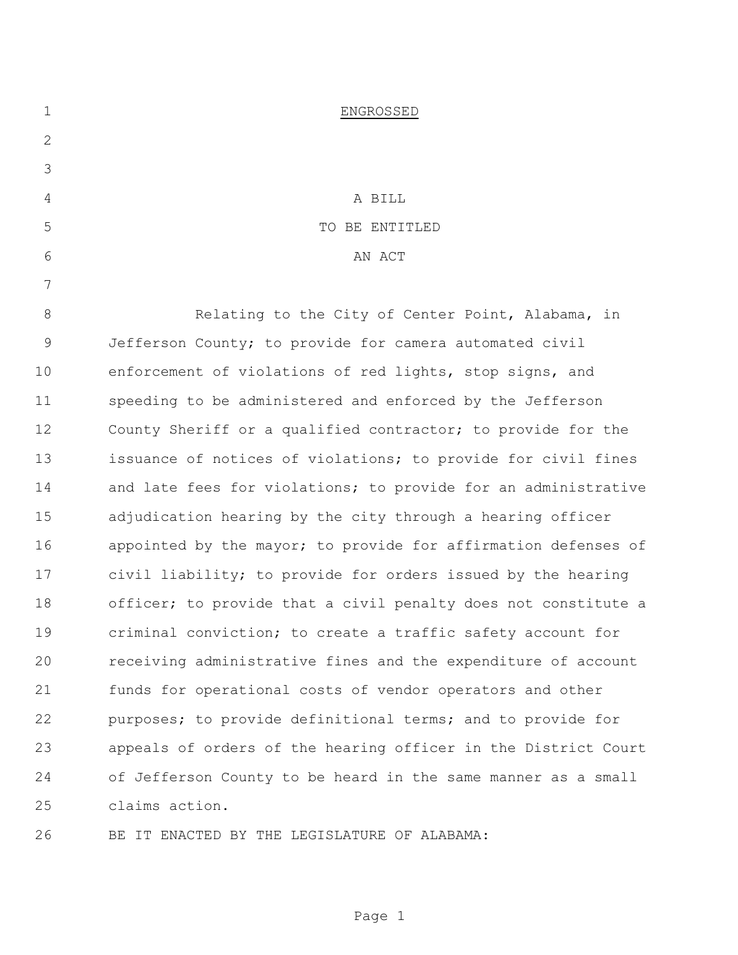| $\mathbf 1$  | ENGROSSED                                                      |  |
|--------------|----------------------------------------------------------------|--|
| $\mathbf{2}$ |                                                                |  |
| 3            |                                                                |  |
| 4            | A BILL                                                         |  |
| 5            | TO BE ENTITLED                                                 |  |
| 6            | AN ACT                                                         |  |
| 7            |                                                                |  |
| 8            | Relating to the City of Center Point, Alabama, in              |  |
| $\mathsf 9$  | Jefferson County; to provide for camera automated civil        |  |
| 10           | enforcement of violations of red lights, stop signs, and       |  |
| 11           | speeding to be administered and enforced by the Jefferson      |  |
| 12           | County Sheriff or a qualified contractor; to provide for the   |  |
| 13           | issuance of notices of violations; to provide for civil fines  |  |
| 14           | and late fees for violations; to provide for an administrative |  |
| 15           | adjudication hearing by the city through a hearing officer     |  |
| 16           | appointed by the mayor; to provide for affirmation defenses of |  |
| 17           | civil liability; to provide for orders issued by the hearing   |  |
| 18           | officer; to provide that a civil penalty does not constitute a |  |
| 19           | criminal conviction; to create a traffic safety account for    |  |
| 20           | receiving administrative fines and the expenditure of account  |  |
| 21           | funds for operational costs of vendor operators and other      |  |
| 22           | purposes; to provide definitional terms; and to provide for    |  |
| 23           | appeals of orders of the hearing officer in the District Court |  |
| 24           | of Jefferson County to be heard in the same manner as a small  |  |
| 25           | claims action.                                                 |  |
|              |                                                                |  |

BE IT ENACTED BY THE LEGISLATURE OF ALABAMA: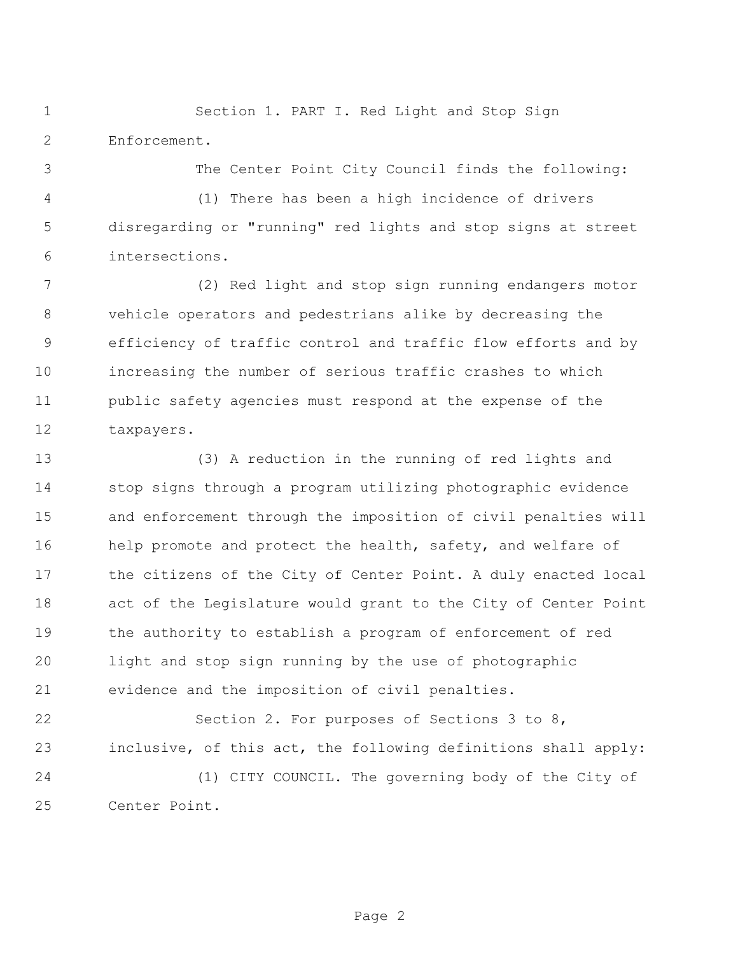Section 1. PART I. Red Light and Stop Sign Enforcement.

The Center Point City Council finds the following:

 (1) There has been a high incidence of drivers disregarding or "running" red lights and stop signs at street intersections.

 (2) Red light and stop sign running endangers motor vehicle operators and pedestrians alike by decreasing the efficiency of traffic control and traffic flow efforts and by increasing the number of serious traffic crashes to which public safety agencies must respond at the expense of the taxpayers.

 (3) A reduction in the running of red lights and stop signs through a program utilizing photographic evidence and enforcement through the imposition of civil penalties will 16 help promote and protect the health, safety, and welfare of 17 the citizens of the City of Center Point. A duly enacted local act of the Legislature would grant to the City of Center Point the authority to establish a program of enforcement of red light and stop sign running by the use of photographic evidence and the imposition of civil penalties.

 Section 2. For purposes of Sections 3 to 8, inclusive, of this act, the following definitions shall apply: (1) CITY COUNCIL. The governing body of the City of Center Point.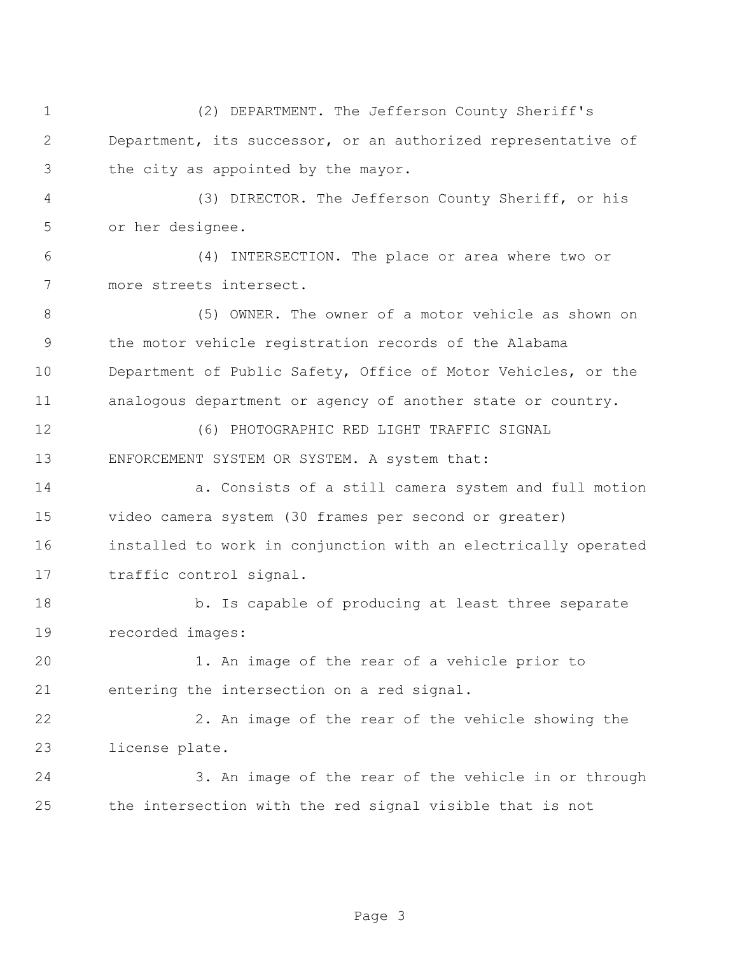(2) DEPARTMENT. The Jefferson County Sheriff's Department, its successor, or an authorized representative of the city as appointed by the mayor.

 (3) DIRECTOR. The Jefferson County Sheriff, or his or her designee.

 (4) INTERSECTION. The place or area where two or more streets intersect.

 (5) OWNER. The owner of a motor vehicle as shown on the motor vehicle registration records of the Alabama Department of Public Safety, Office of Motor Vehicles, or the analogous department or agency of another state or country.

 (6) PHOTOGRAPHIC RED LIGHT TRAFFIC SIGNAL ENFORCEMENT SYSTEM OR SYSTEM. A system that:

 a. Consists of a still camera system and full motion video camera system (30 frames per second or greater) installed to work in conjunction with an electrically operated traffic control signal.

18 b. Is capable of producing at least three separate recorded images:

 1. An image of the rear of a vehicle prior to entering the intersection on a red signal.

 2. An image of the rear of the vehicle showing the license plate.

 3. An image of the rear of the vehicle in or through the intersection with the red signal visible that is not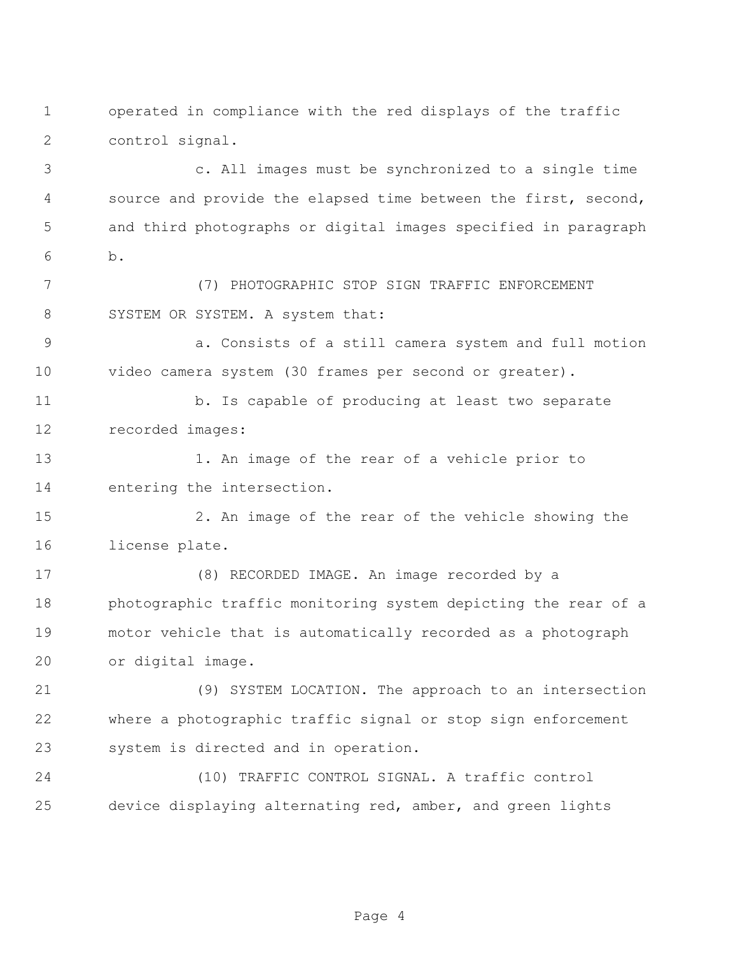operated in compliance with the red displays of the traffic control signal.

 c. All images must be synchronized to a single time 4 source and provide the elapsed time between the first, second, and third photographs or digital images specified in paragraph b.

 (7) PHOTOGRAPHIC STOP SIGN TRAFFIC ENFORCEMENT 8 SYSTEM OR SYSTEM. A system that:

 a. Consists of a still camera system and full motion video camera system (30 frames per second or greater).

11 b. Is capable of producing at least two separate recorded images:

 1. An image of the rear of a vehicle prior to entering the intersection.

 2. An image of the rear of the vehicle showing the license plate.

 (8) RECORDED IMAGE. An image recorded by a photographic traffic monitoring system depicting the rear of a motor vehicle that is automatically recorded as a photograph or digital image.

 (9) SYSTEM LOCATION. The approach to an intersection where a photographic traffic signal or stop sign enforcement system is directed and in operation.

 (10) TRAFFIC CONTROL SIGNAL. A traffic control device displaying alternating red, amber, and green lights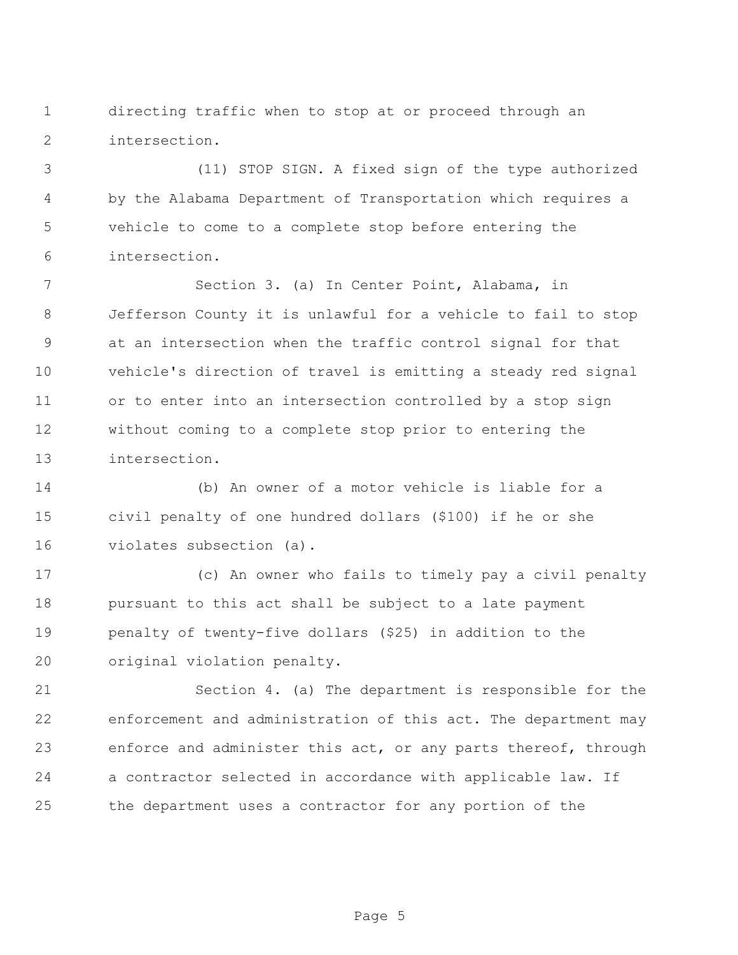directing traffic when to stop at or proceed through an intersection.

 (11) STOP SIGN. A fixed sign of the type authorized by the Alabama Department of Transportation which requires a vehicle to come to a complete stop before entering the intersection.

 Section 3. (a) In Center Point, Alabama, in Jefferson County it is unlawful for a vehicle to fail to stop at an intersection when the traffic control signal for that vehicle's direction of travel is emitting a steady red signal or to enter into an intersection controlled by a stop sign without coming to a complete stop prior to entering the intersection.

 (b) An owner of a motor vehicle is liable for a civil penalty of one hundred dollars (\$100) if he or she violates subsection (a).

 (c) An owner who fails to timely pay a civil penalty pursuant to this act shall be subject to a late payment penalty of twenty-five dollars (\$25) in addition to the original violation penalty.

 Section 4. (a) The department is responsible for the enforcement and administration of this act. The department may enforce and administer this act, or any parts thereof, through a contractor selected in accordance with applicable law. If the department uses a contractor for any portion of the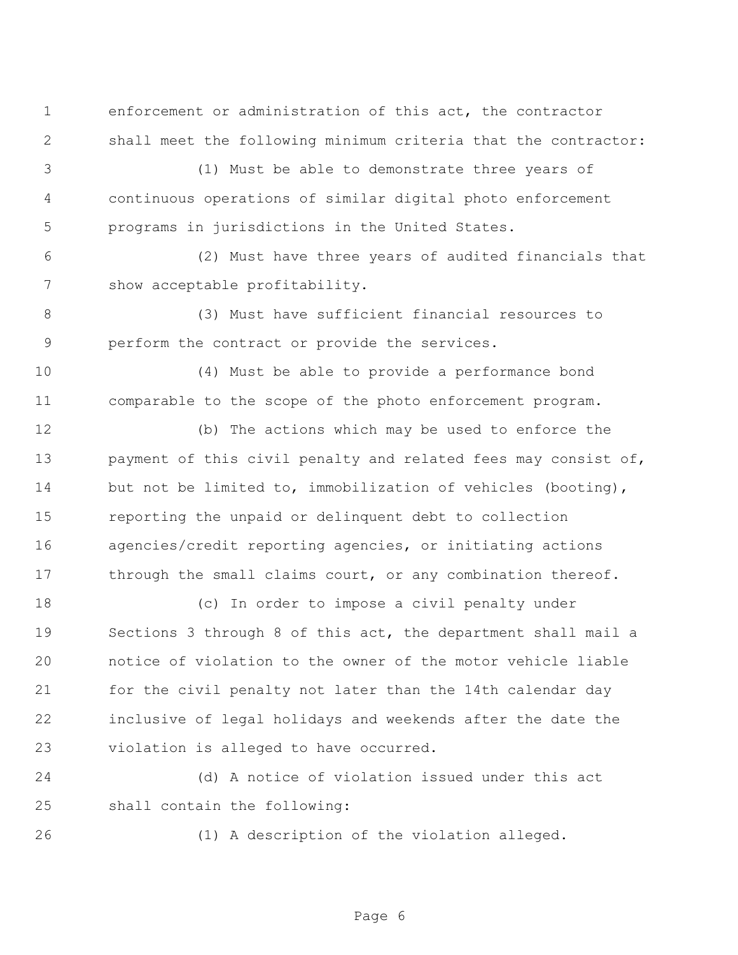enforcement or administration of this act, the contractor shall meet the following minimum criteria that the contractor:

 (1) Must be able to demonstrate three years of continuous operations of similar digital photo enforcement programs in jurisdictions in the United States.

 (2) Must have three years of audited financials that show acceptable profitability.

 (3) Must have sufficient financial resources to perform the contract or provide the services.

 (4) Must be able to provide a performance bond comparable to the scope of the photo enforcement program.

 (b) The actions which may be used to enforce the payment of this civil penalty and related fees may consist of, 14 but not be limited to, immobilization of vehicles (booting), reporting the unpaid or delinquent debt to collection agencies/credit reporting agencies, or initiating actions 17 through the small claims court, or any combination thereof.

 (c) In order to impose a civil penalty under Sections 3 through 8 of this act, the department shall mail a notice of violation to the owner of the motor vehicle liable for the civil penalty not later than the 14th calendar day inclusive of legal holidays and weekends after the date the violation is alleged to have occurred.

 (d) A notice of violation issued under this act shall contain the following:

(1) A description of the violation alleged.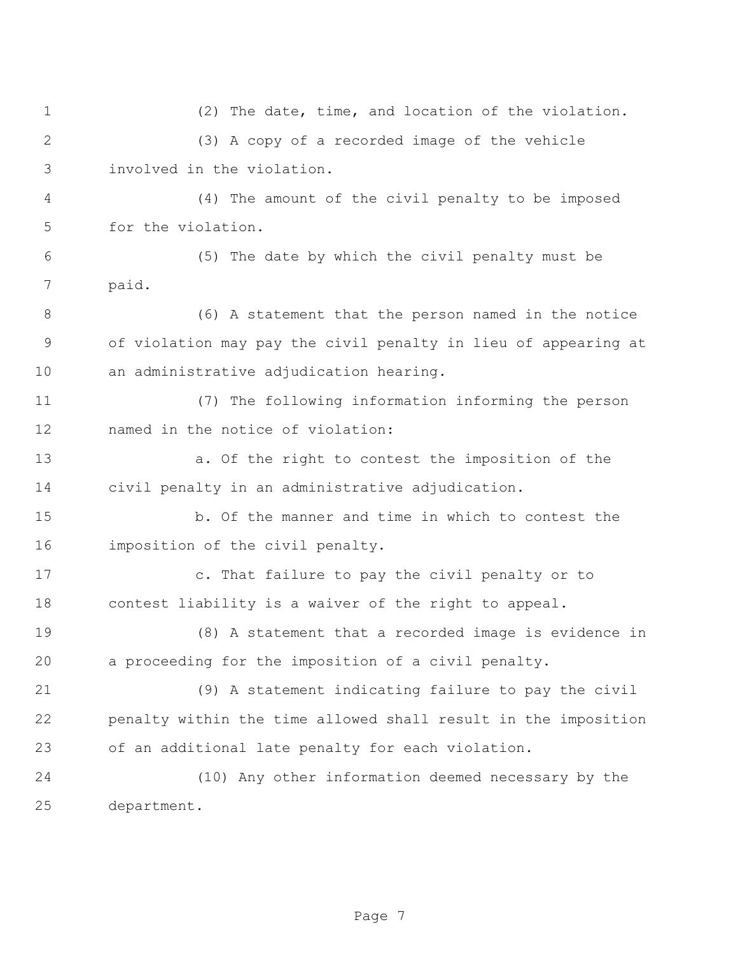(2) The date, time, and location of the violation. (3) A copy of a recorded image of the vehicle involved in the violation. (4) The amount of the civil penalty to be imposed for the violation. (5) The date by which the civil penalty must be paid. (6) A statement that the person named in the notice of violation may pay the civil penalty in lieu of appearing at an administrative adjudication hearing. (7) The following information informing the person named in the notice of violation: a. Of the right to contest the imposition of the civil penalty in an administrative adjudication. b. Of the manner and time in which to contest the imposition of the civil penalty. c. That failure to pay the civil penalty or to contest liability is a waiver of the right to appeal. (8) A statement that a recorded image is evidence in a proceeding for the imposition of a civil penalty. (9) A statement indicating failure to pay the civil penalty within the time allowed shall result in the imposition of an additional late penalty for each violation. (10) Any other information deemed necessary by the department.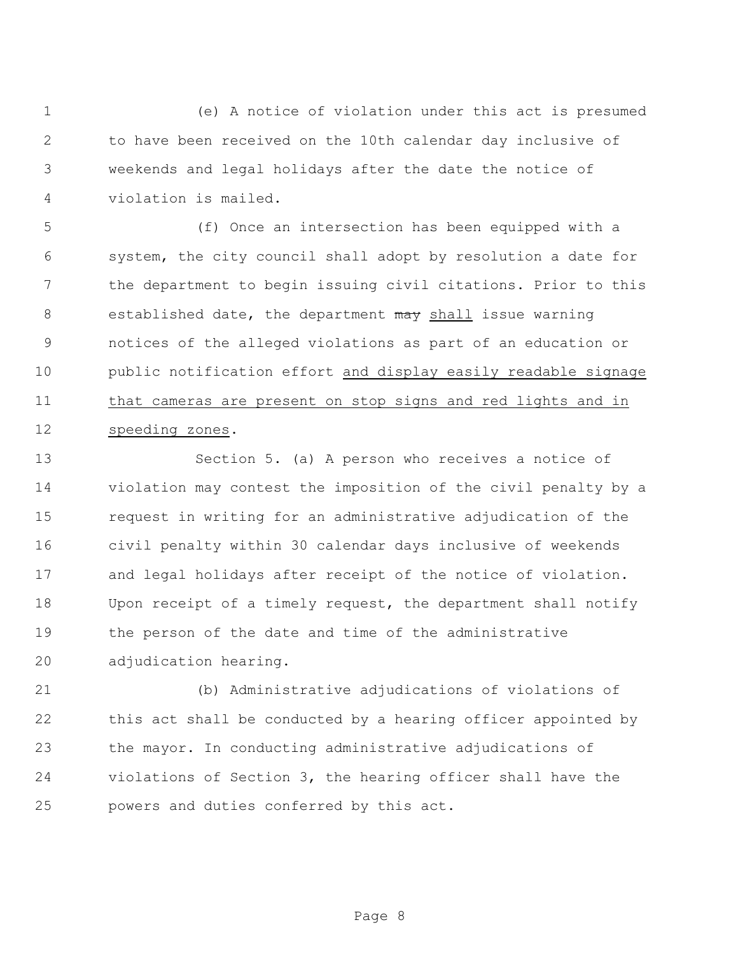(e) A notice of violation under this act is presumed to have been received on the 10th calendar day inclusive of weekends and legal holidays after the date the notice of violation is mailed.

 (f) Once an intersection has been equipped with a system, the city council shall adopt by resolution a date for the department to begin issuing civil citations. Prior to this 8 established date, the department may shall issue warning notices of the alleged violations as part of an education or public notification effort and display easily readable signage that cameras are present on stop signs and red lights and in speeding zones.

 Section 5. (a) A person who receives a notice of violation may contest the imposition of the civil penalty by a request in writing for an administrative adjudication of the civil penalty within 30 calendar days inclusive of weekends and legal holidays after receipt of the notice of violation. Upon receipt of a timely request, the department shall notify the person of the date and time of the administrative adjudication hearing.

 (b) Administrative adjudications of violations of this act shall be conducted by a hearing officer appointed by the mayor. In conducting administrative adjudications of violations of Section 3, the hearing officer shall have the powers and duties conferred by this act.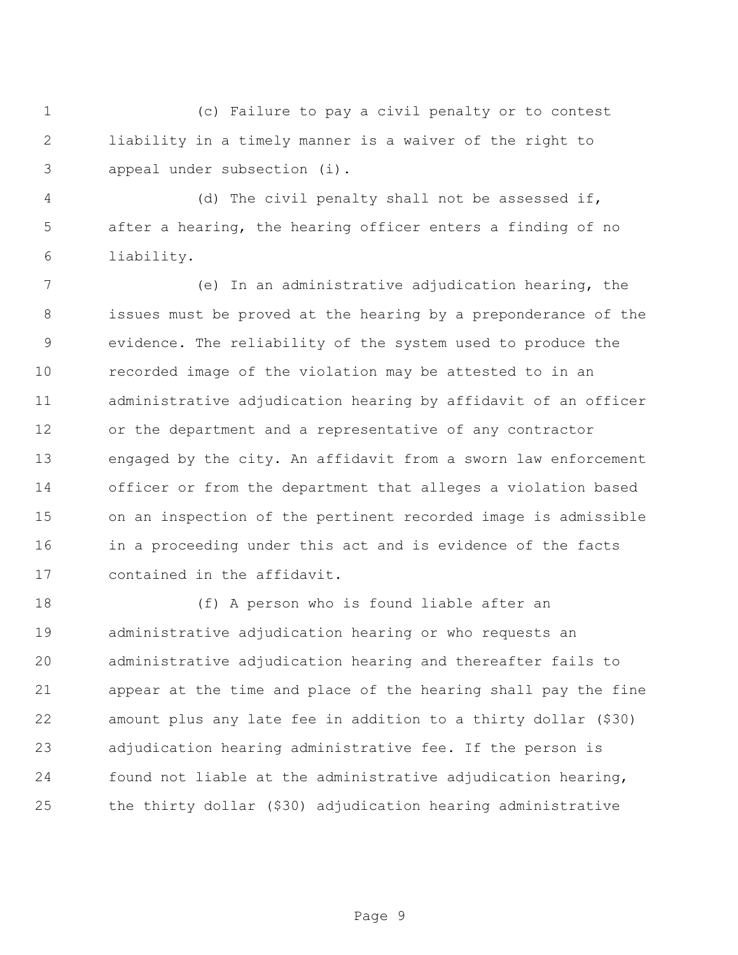(c) Failure to pay a civil penalty or to contest liability in a timely manner is a waiver of the right to appeal under subsection (i).

 (d) The civil penalty shall not be assessed if, after a hearing, the hearing officer enters a finding of no liability.

 (e) In an administrative adjudication hearing, the issues must be proved at the hearing by a preponderance of the evidence. The reliability of the system used to produce the recorded image of the violation may be attested to in an administrative adjudication hearing by affidavit of an officer or the department and a representative of any contractor engaged by the city. An affidavit from a sworn law enforcement officer or from the department that alleges a violation based on an inspection of the pertinent recorded image is admissible in a proceeding under this act and is evidence of the facts contained in the affidavit.

 (f) A person who is found liable after an administrative adjudication hearing or who requests an administrative adjudication hearing and thereafter fails to appear at the time and place of the hearing shall pay the fine amount plus any late fee in addition to a thirty dollar (\$30) adjudication hearing administrative fee. If the person is found not liable at the administrative adjudication hearing, the thirty dollar (\$30) adjudication hearing administrative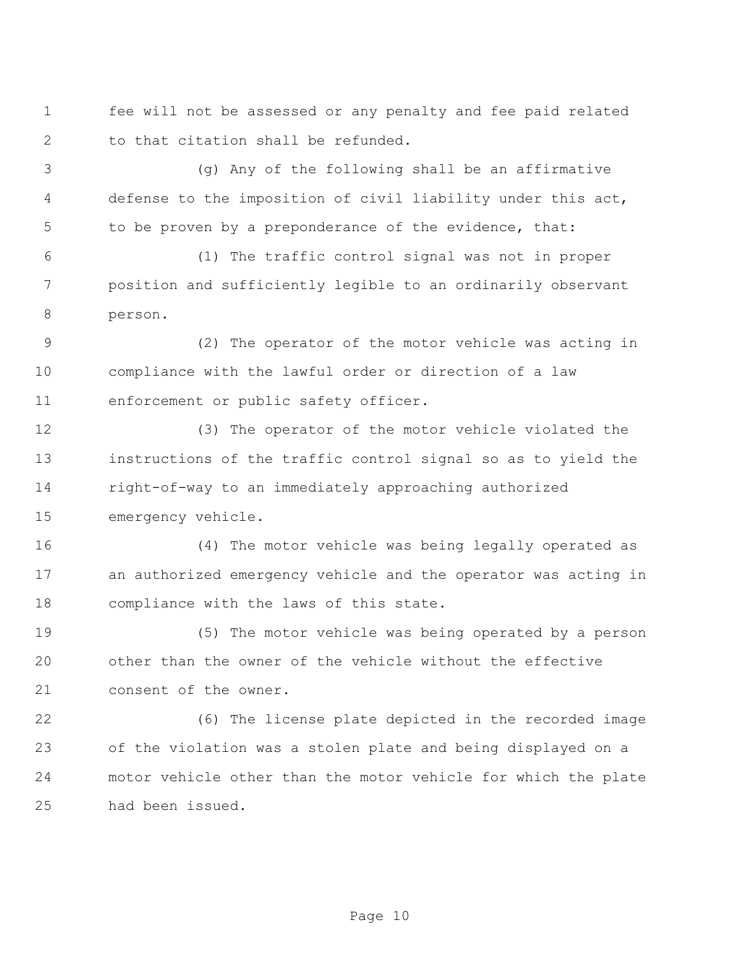fee will not be assessed or any penalty and fee paid related to that citation shall be refunded.

 (g) Any of the following shall be an affirmative defense to the imposition of civil liability under this act, to be proven by a preponderance of the evidence, that:

 (1) The traffic control signal was not in proper position and sufficiently legible to an ordinarily observant person.

 (2) The operator of the motor vehicle was acting in compliance with the lawful order or direction of a law enforcement or public safety officer.

 (3) The operator of the motor vehicle violated the instructions of the traffic control signal so as to yield the right-of-way to an immediately approaching authorized emergency vehicle.

 (4) The motor vehicle was being legally operated as an authorized emergency vehicle and the operator was acting in compliance with the laws of this state.

 (5) The motor vehicle was being operated by a person other than the owner of the vehicle without the effective consent of the owner.

 (6) The license plate depicted in the recorded image of the violation was a stolen plate and being displayed on a motor vehicle other than the motor vehicle for which the plate had been issued.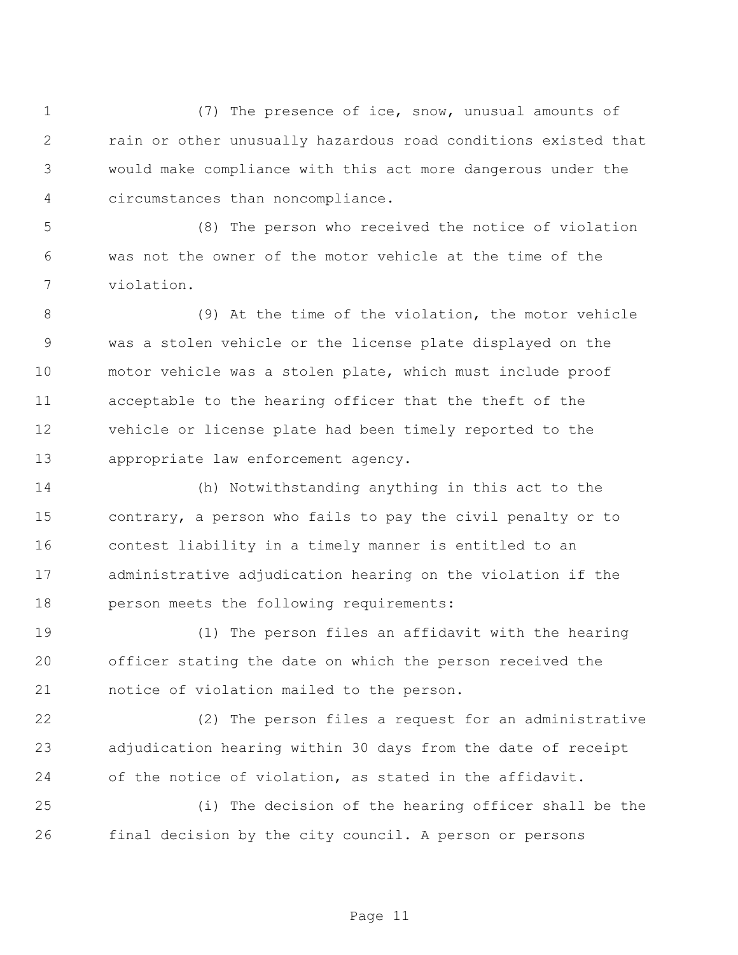(7) The presence of ice, snow, unusual amounts of rain or other unusually hazardous road conditions existed that would make compliance with this act more dangerous under the circumstances than noncompliance.

 (8) The person who received the notice of violation was not the owner of the motor vehicle at the time of the violation.

 (9) At the time of the violation, the motor vehicle was a stolen vehicle or the license plate displayed on the motor vehicle was a stolen plate, which must include proof acceptable to the hearing officer that the theft of the vehicle or license plate had been timely reported to the appropriate law enforcement agency.

 (h) Notwithstanding anything in this act to the contrary, a person who fails to pay the civil penalty or to contest liability in a timely manner is entitled to an administrative adjudication hearing on the violation if the person meets the following requirements:

 (1) The person files an affidavit with the hearing officer stating the date on which the person received the notice of violation mailed to the person.

 (2) The person files a request for an administrative adjudication hearing within 30 days from the date of receipt of the notice of violation, as stated in the affidavit.

 (i) The decision of the hearing officer shall be the final decision by the city council. A person or persons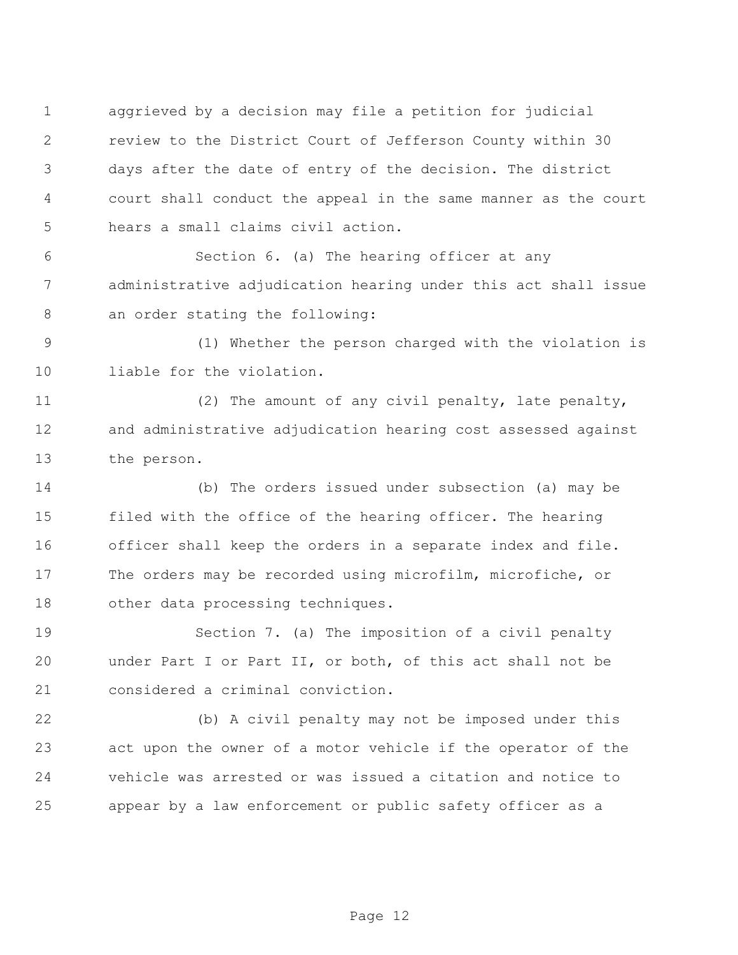aggrieved by a decision may file a petition for judicial review to the District Court of Jefferson County within 30 days after the date of entry of the decision. The district court shall conduct the appeal in the same manner as the court hears a small claims civil action.

 Section 6. (a) The hearing officer at any administrative adjudication hearing under this act shall issue an order stating the following:

 (1) Whether the person charged with the violation is 10 liable for the violation.

 (2) The amount of any civil penalty, late penalty, and administrative adjudication hearing cost assessed against the person.

 (b) The orders issued under subsection (a) may be filed with the office of the hearing officer. The hearing officer shall keep the orders in a separate index and file. The orders may be recorded using microfilm, microfiche, or other data processing techniques.

 Section 7. (a) The imposition of a civil penalty under Part I or Part II, or both, of this act shall not be considered a criminal conviction.

 (b) A civil penalty may not be imposed under this act upon the owner of a motor vehicle if the operator of the vehicle was arrested or was issued a citation and notice to appear by a law enforcement or public safety officer as a

Page 12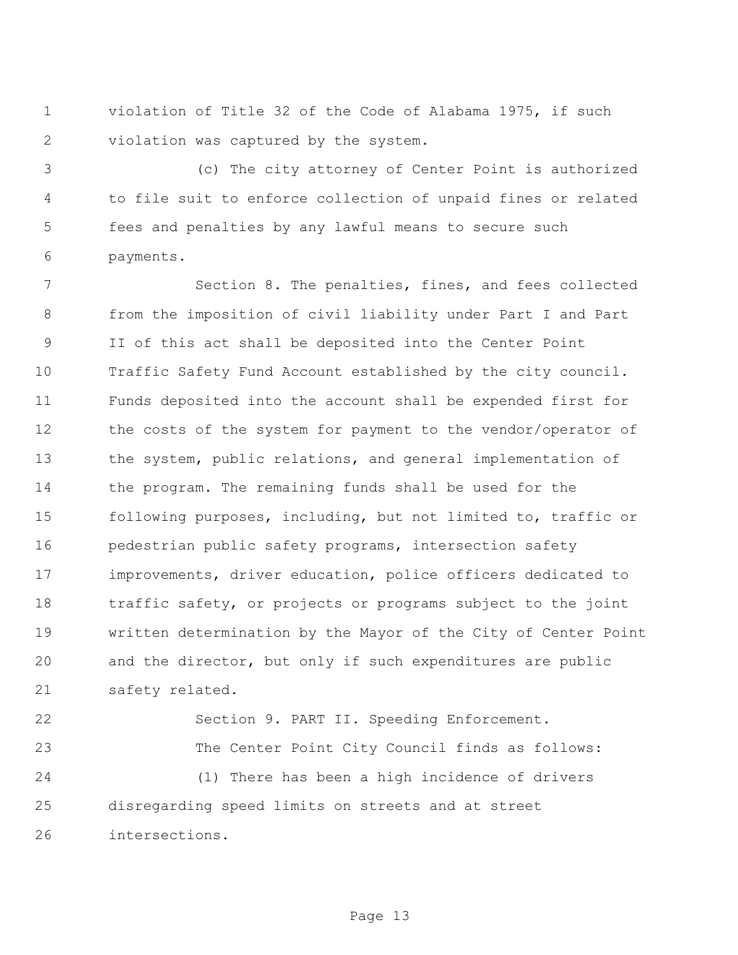violation of Title 32 of the Code of Alabama 1975, if such violation was captured by the system.

 (c) The city attorney of Center Point is authorized to file suit to enforce collection of unpaid fines or related fees and penalties by any lawful means to secure such payments.

 Section 8. The penalties, fines, and fees collected from the imposition of civil liability under Part I and Part II of this act shall be deposited into the Center Point Traffic Safety Fund Account established by the city council. Funds deposited into the account shall be expended first for the costs of the system for payment to the vendor/operator of the system, public relations, and general implementation of the program. The remaining funds shall be used for the following purposes, including, but not limited to, traffic or pedestrian public safety programs, intersection safety improvements, driver education, police officers dedicated to traffic safety, or projects or programs subject to the joint written determination by the Mayor of the City of Center Point and the director, but only if such expenditures are public safety related.

 Section 9. PART II. Speeding Enforcement. The Center Point City Council finds as follows: (1) There has been a high incidence of drivers disregarding speed limits on streets and at street intersections.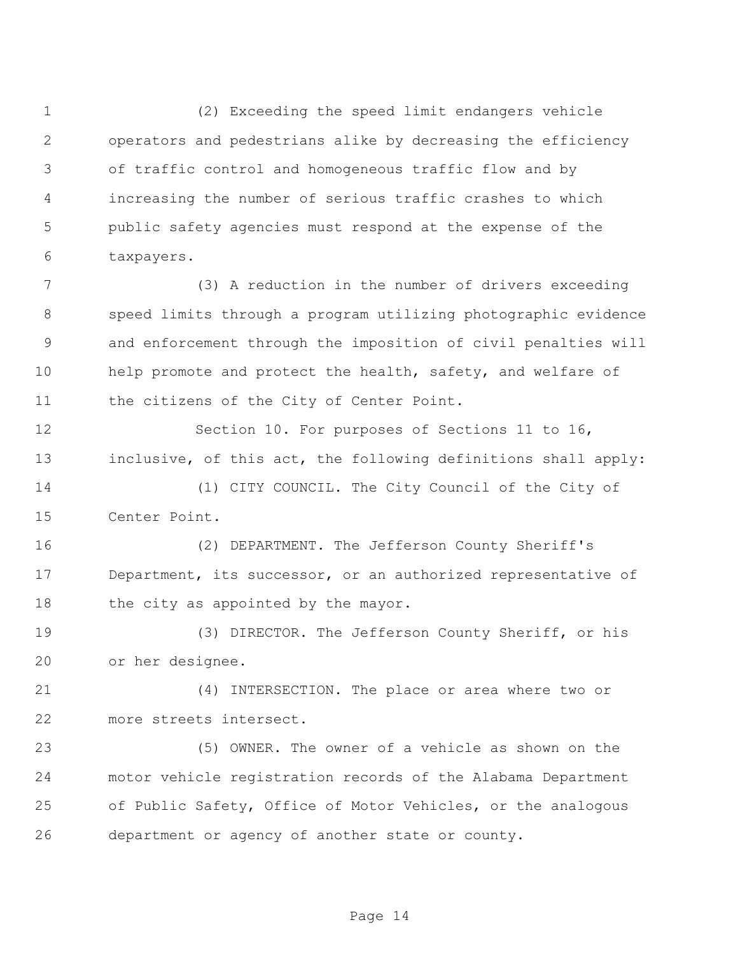(2) Exceeding the speed limit endangers vehicle operators and pedestrians alike by decreasing the efficiency of traffic control and homogeneous traffic flow and by increasing the number of serious traffic crashes to which public safety agencies must respond at the expense of the taxpayers.

 (3) A reduction in the number of drivers exceeding speed limits through a program utilizing photographic evidence and enforcement through the imposition of civil penalties will 10 help promote and protect the health, safety, and welfare of the citizens of the City of Center Point.

 Section 10. For purposes of Sections 11 to 16, inclusive, of this act, the following definitions shall apply:

 (1) CITY COUNCIL. The City Council of the City of Center Point.

 (2) DEPARTMENT. The Jefferson County Sheriff's Department, its successor, or an authorized representative of 18 the city as appointed by the mayor.

 (3) DIRECTOR. The Jefferson County Sheriff, or his or her designee.

 (4) INTERSECTION. The place or area where two or more streets intersect.

 (5) OWNER. The owner of a vehicle as shown on the motor vehicle registration records of the Alabama Department of Public Safety, Office of Motor Vehicles, or the analogous department or agency of another state or county.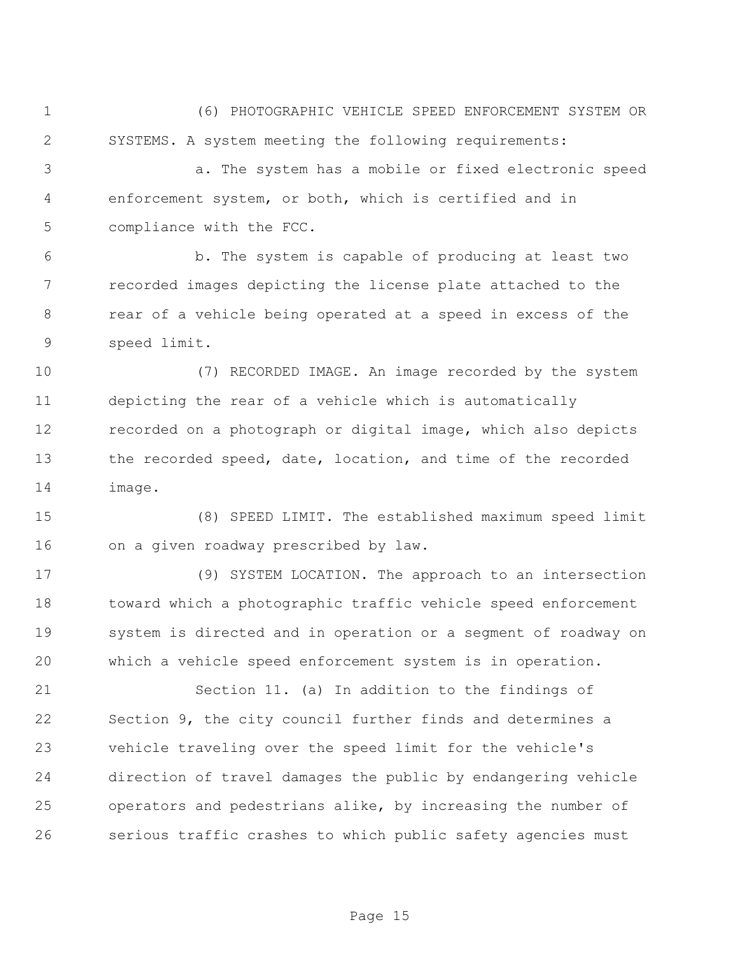(6) PHOTOGRAPHIC VEHICLE SPEED ENFORCEMENT SYSTEM OR SYSTEMS. A system meeting the following requirements:

 a. The system has a mobile or fixed electronic speed enforcement system, or both, which is certified and in compliance with the FCC.

 b. The system is capable of producing at least two recorded images depicting the license plate attached to the rear of a vehicle being operated at a speed in excess of the speed limit.

 (7) RECORDED IMAGE. An image recorded by the system depicting the rear of a vehicle which is automatically recorded on a photograph or digital image, which also depicts the recorded speed, date, location, and time of the recorded image.

 (8) SPEED LIMIT. The established maximum speed limit on a given roadway prescribed by law.

 (9) SYSTEM LOCATION. The approach to an intersection toward which a photographic traffic vehicle speed enforcement system is directed and in operation or a segment of roadway on which a vehicle speed enforcement system is in operation.

 Section 11. (a) In addition to the findings of Section 9, the city council further finds and determines a vehicle traveling over the speed limit for the vehicle's direction of travel damages the public by endangering vehicle operators and pedestrians alike, by increasing the number of serious traffic crashes to which public safety agencies must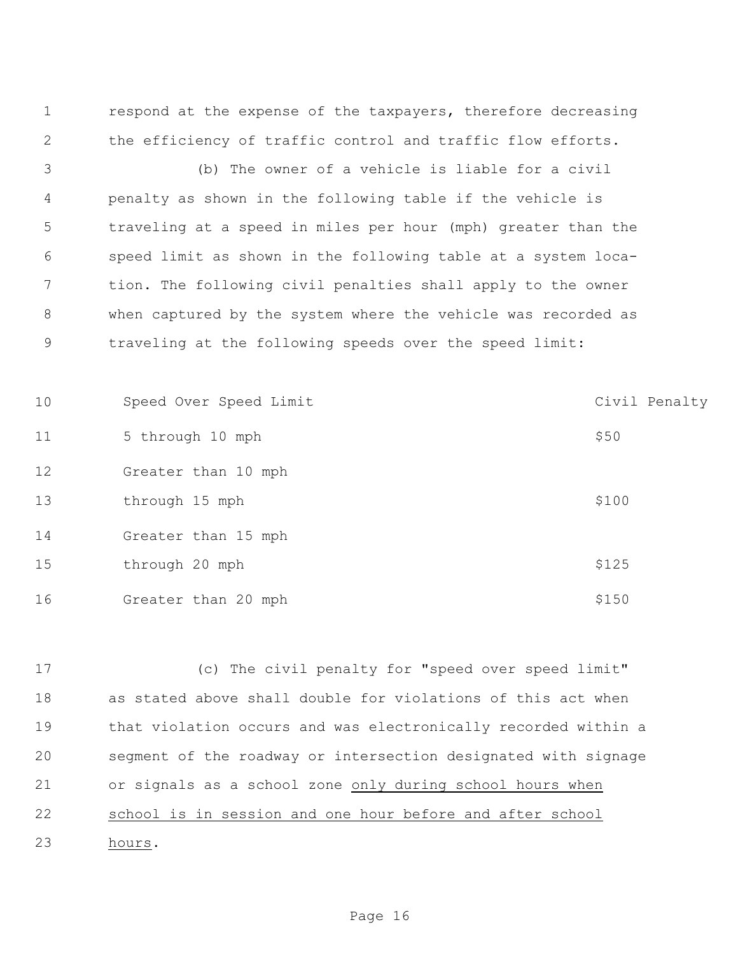respond at the expense of the taxpayers, therefore decreasing the efficiency of traffic control and traffic flow efforts.

 (b) The owner of a vehicle is liable for a civil penalty as shown in the following table if the vehicle is traveling at a speed in miles per hour (mph) greater than the speed limit as shown in the following table at a system loca- tion. The following civil penalties shall apply to the owner when captured by the system where the vehicle was recorded as traveling at the following speeds over the speed limit:

10 Speed Over Speed Limit Civil Penalty 11 5 through 10 mph  $$50$  Greater than 10 mph 13 through 15 mph  $$100$  Greater than 15 mph 15 through 20 mph  $$125$ 16 Greater than 20 mph \$150

 (c) The civil penalty for "speed over speed limit" as stated above shall double for violations of this act when that violation occurs and was electronically recorded within a segment of the roadway or intersection designated with signage or signals as a school zone only during school hours when 22 school is in session and one hour before and after school hours.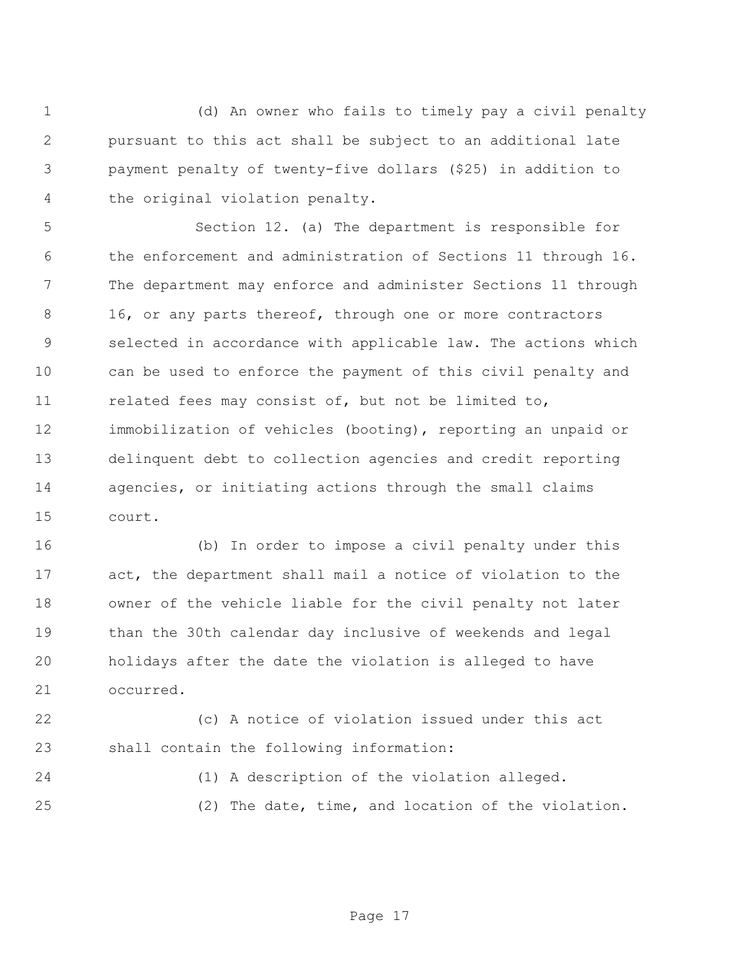(d) An owner who fails to timely pay a civil penalty pursuant to this act shall be subject to an additional late payment penalty of twenty-five dollars (\$25) in addition to the original violation penalty.

 Section 12. (a) The department is responsible for the enforcement and administration of Sections 11 through 16. The department may enforce and administer Sections 11 through 8 16, or any parts thereof, through one or more contractors selected in accordance with applicable law. The actions which can be used to enforce the payment of this civil penalty and related fees may consist of, but not be limited to, immobilization of vehicles (booting), reporting an unpaid or delinquent debt to collection agencies and credit reporting agencies, or initiating actions through the small claims court.

 (b) In order to impose a civil penalty under this act, the department shall mail a notice of violation to the owner of the vehicle liable for the civil penalty not later than the 30th calendar day inclusive of weekends and legal holidays after the date the violation is alleged to have occurred.

 (c) A notice of violation issued under this act shall contain the following information:

(1) A description of the violation alleged.

(2) The date, time, and location of the violation.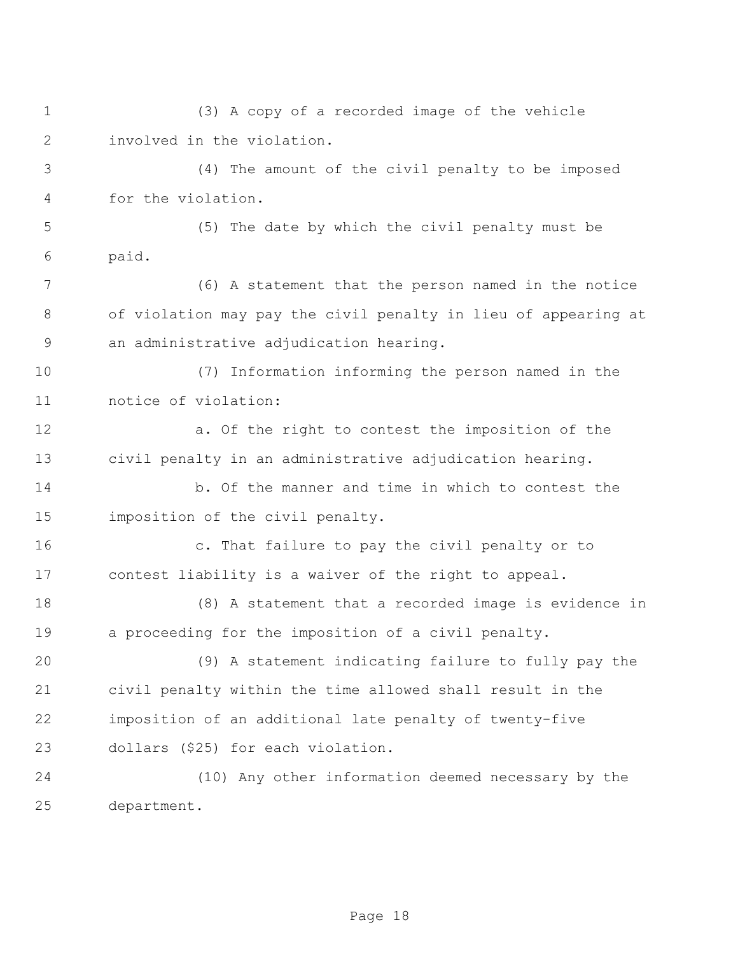(3) A copy of a recorded image of the vehicle involved in the violation. (4) The amount of the civil penalty to be imposed for the violation. (5) The date by which the civil penalty must be paid. (6) A statement that the person named in the notice of violation may pay the civil penalty in lieu of appearing at an administrative adjudication hearing. (7) Information informing the person named in the notice of violation: a. Of the right to contest the imposition of the civil penalty in an administrative adjudication hearing. b. Of the manner and time in which to contest the imposition of the civil penalty. c. That failure to pay the civil penalty or to contest liability is a waiver of the right to appeal. (8) A statement that a recorded image is evidence in a proceeding for the imposition of a civil penalty. (9) A statement indicating failure to fully pay the civil penalty within the time allowed shall result in the imposition of an additional late penalty of twenty-five dollars (\$25) for each violation. (10) Any other information deemed necessary by the department.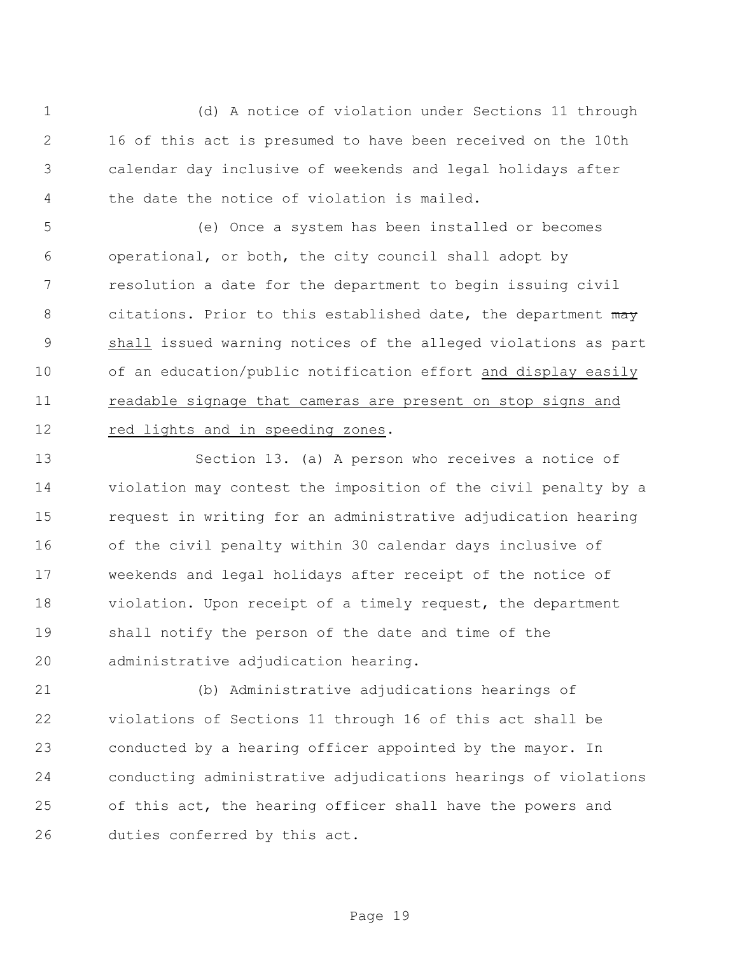(d) A notice of violation under Sections 11 through 16 of this act is presumed to have been received on the 10th calendar day inclusive of weekends and legal holidays after the date the notice of violation is mailed.

 (e) Once a system has been installed or becomes operational, or both, the city council shall adopt by resolution a date for the department to begin issuing civil 8 citations. Prior to this established date, the department may shall issued warning notices of the alleged violations as part of an education/public notification effort and display easily readable signage that cameras are present on stop signs and red lights and in speeding zones.

 Section 13. (a) A person who receives a notice of violation may contest the imposition of the civil penalty by a request in writing for an administrative adjudication hearing of the civil penalty within 30 calendar days inclusive of weekends and legal holidays after receipt of the notice of violation. Upon receipt of a timely request, the department shall notify the person of the date and time of the administrative adjudication hearing.

 (b) Administrative adjudications hearings of violations of Sections 11 through 16 of this act shall be conducted by a hearing officer appointed by the mayor. In conducting administrative adjudications hearings of violations of this act, the hearing officer shall have the powers and duties conferred by this act.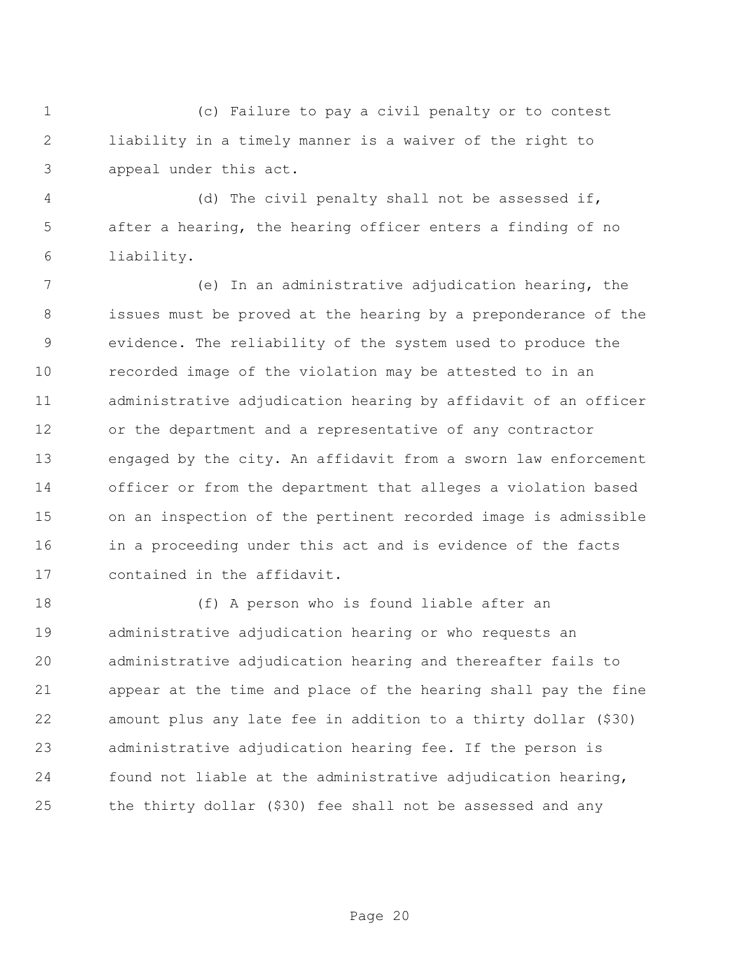(c) Failure to pay a civil penalty or to contest liability in a timely manner is a waiver of the right to appeal under this act.

 (d) The civil penalty shall not be assessed if, after a hearing, the hearing officer enters a finding of no liability.

 (e) In an administrative adjudication hearing, the issues must be proved at the hearing by a preponderance of the evidence. The reliability of the system used to produce the recorded image of the violation may be attested to in an administrative adjudication hearing by affidavit of an officer or the department and a representative of any contractor engaged by the city. An affidavit from a sworn law enforcement officer or from the department that alleges a violation based on an inspection of the pertinent recorded image is admissible in a proceeding under this act and is evidence of the facts contained in the affidavit.

 (f) A person who is found liable after an administrative adjudication hearing or who requests an administrative adjudication hearing and thereafter fails to appear at the time and place of the hearing shall pay the fine amount plus any late fee in addition to a thirty dollar (\$30) administrative adjudication hearing fee. If the person is found not liable at the administrative adjudication hearing, the thirty dollar (\$30) fee shall not be assessed and any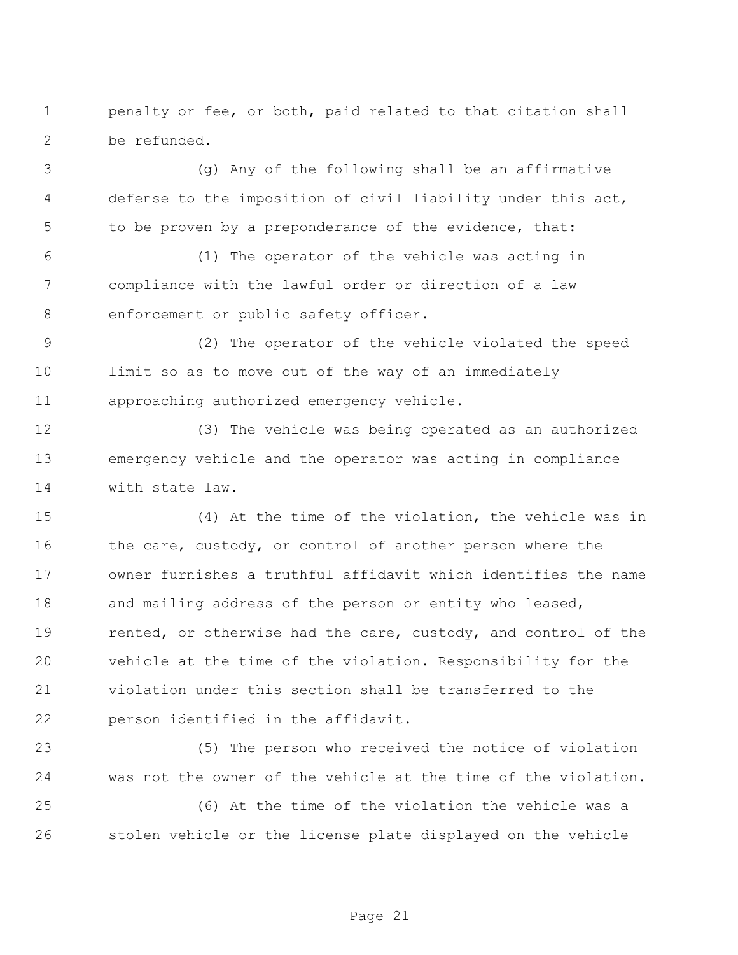penalty or fee, or both, paid related to that citation shall be refunded.

 (g) Any of the following shall be an affirmative defense to the imposition of civil liability under this act, to be proven by a preponderance of the evidence, that:

 (1) The operator of the vehicle was acting in compliance with the lawful order or direction of a law enforcement or public safety officer.

 (2) The operator of the vehicle violated the speed limit so as to move out of the way of an immediately approaching authorized emergency vehicle.

 (3) The vehicle was being operated as an authorized emergency vehicle and the operator was acting in compliance with state law.

 (4) At the time of the violation, the vehicle was in 16 the care, custody, or control of another person where the owner furnishes a truthful affidavit which identifies the name 18 and mailing address of the person or entity who leased, 19 rented, or otherwise had the care, custody, and control of the vehicle at the time of the violation. Responsibility for the violation under this section shall be transferred to the person identified in the affidavit.

 (5) The person who received the notice of violation was not the owner of the vehicle at the time of the violation.

 (6) At the time of the violation the vehicle was a stolen vehicle or the license plate displayed on the vehicle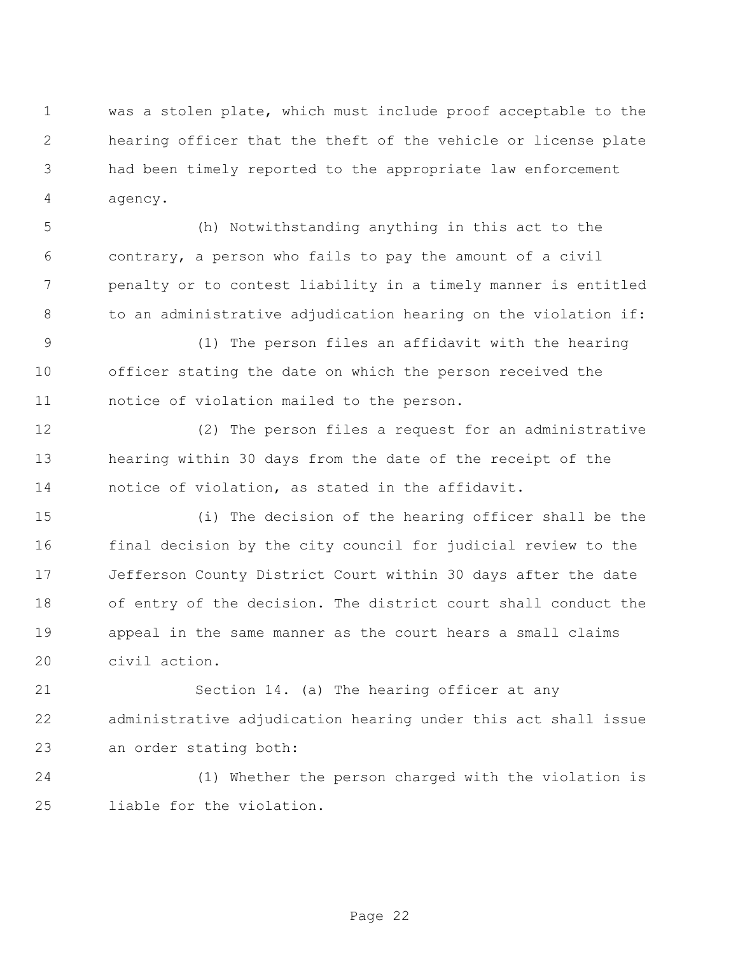was a stolen plate, which must include proof acceptable to the hearing officer that the theft of the vehicle or license plate had been timely reported to the appropriate law enforcement agency.

 (h) Notwithstanding anything in this act to the contrary, a person who fails to pay the amount of a civil penalty or to contest liability in a timely manner is entitled 8 to an administrative adjudication hearing on the violation if:

 (1) The person files an affidavit with the hearing officer stating the date on which the person received the notice of violation mailed to the person.

 (2) The person files a request for an administrative hearing within 30 days from the date of the receipt of the notice of violation, as stated in the affidavit.

 (i) The decision of the hearing officer shall be the final decision by the city council for judicial review to the Jefferson County District Court within 30 days after the date of entry of the decision. The district court shall conduct the appeal in the same manner as the court hears a small claims civil action.

 Section 14. (a) The hearing officer at any administrative adjudication hearing under this act shall issue an order stating both:

 (1) Whether the person charged with the violation is liable for the violation.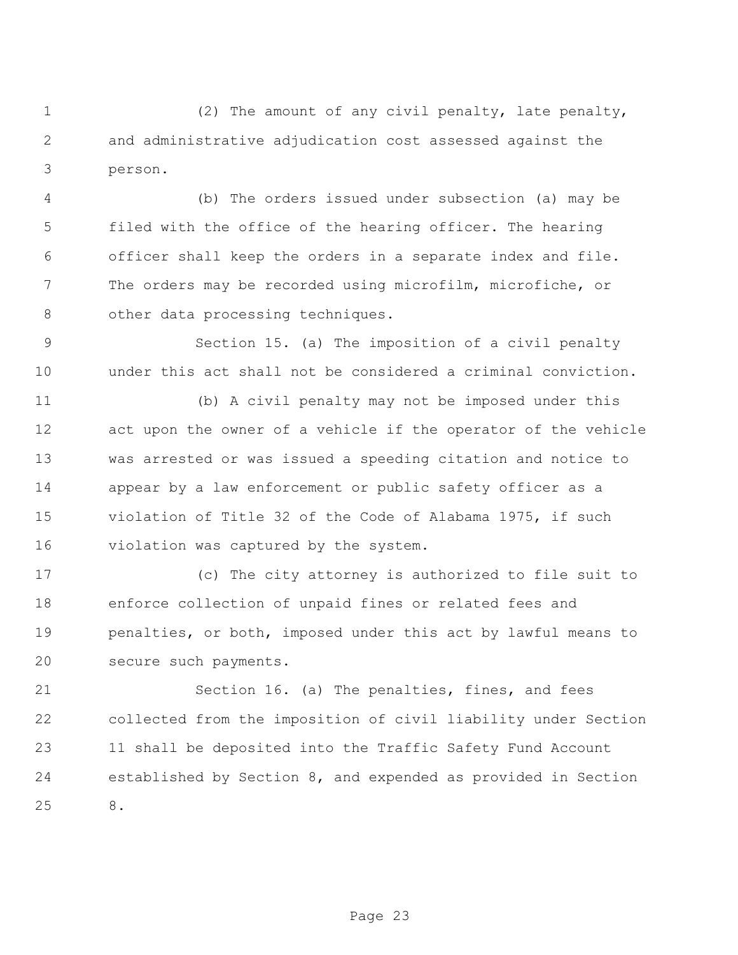(2) The amount of any civil penalty, late penalty, and administrative adjudication cost assessed against the person.

 (b) The orders issued under subsection (a) may be filed with the office of the hearing officer. The hearing officer shall keep the orders in a separate index and file. The orders may be recorded using microfilm, microfiche, or 8 other data processing techniques.

 Section 15. (a) The imposition of a civil penalty under this act shall not be considered a criminal conviction.

 (b) A civil penalty may not be imposed under this act upon the owner of a vehicle if the operator of the vehicle was arrested or was issued a speeding citation and notice to appear by a law enforcement or public safety officer as a violation of Title 32 of the Code of Alabama 1975, if such violation was captured by the system.

 (c) The city attorney is authorized to file suit to enforce collection of unpaid fines or related fees and penalties, or both, imposed under this act by lawful means to secure such payments.

 Section 16. (a) The penalties, fines, and fees collected from the imposition of civil liability under Section 11 shall be deposited into the Traffic Safety Fund Account established by Section 8, and expended as provided in Section 8.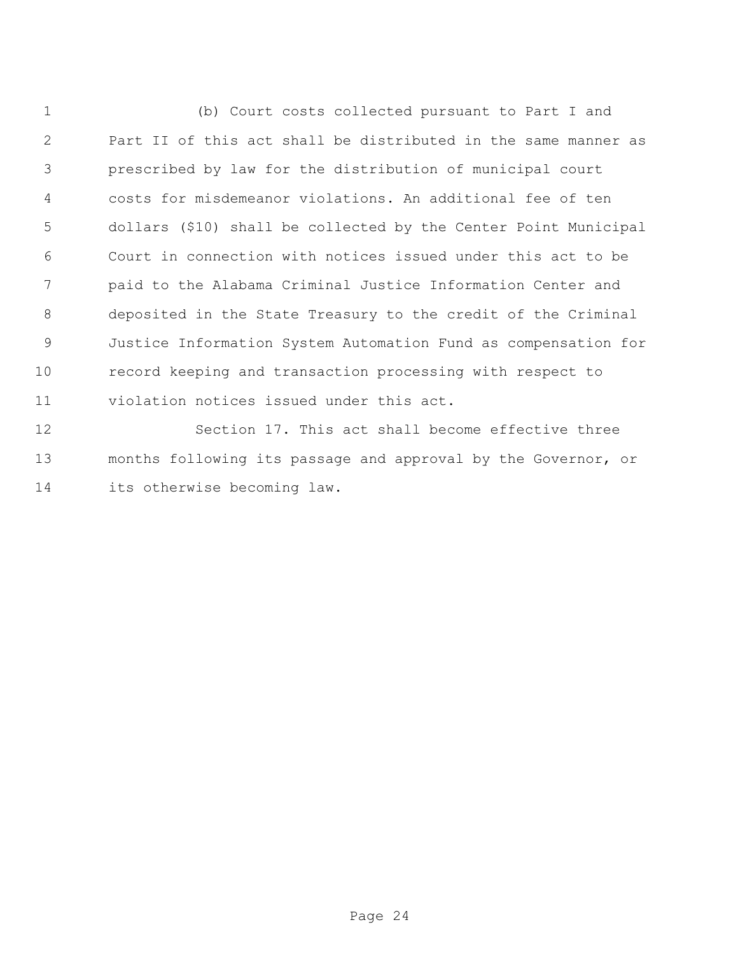(b) Court costs collected pursuant to Part I and Part II of this act shall be distributed in the same manner as prescribed by law for the distribution of municipal court costs for misdemeanor violations. An additional fee of ten dollars (\$10) shall be collected by the Center Point Municipal Court in connection with notices issued under this act to be paid to the Alabama Criminal Justice Information Center and deposited in the State Treasury to the credit of the Criminal Justice Information System Automation Fund as compensation for record keeping and transaction processing with respect to violation notices issued under this act.

 Section 17. This act shall become effective three months following its passage and approval by the Governor, or its otherwise becoming law.